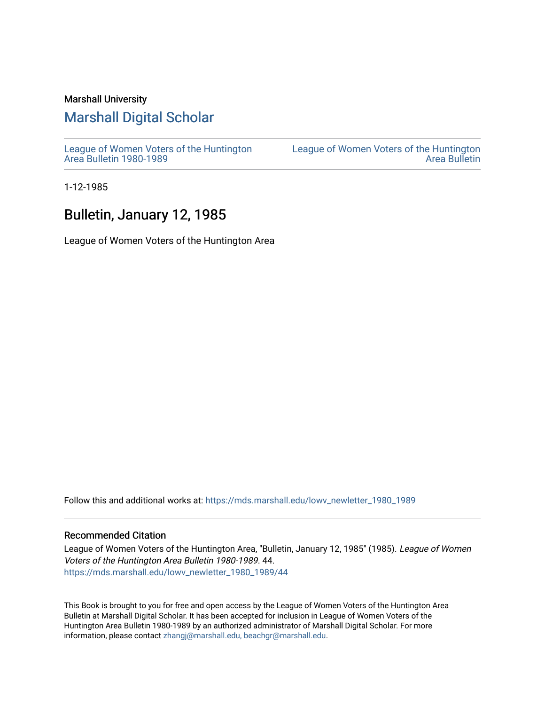#### Marshall University

## [Marshall Digital Scholar](https://mds.marshall.edu/)

[League of Women Voters of the Huntington](https://mds.marshall.edu/lowv_newletter_1980_1989) [Area Bulletin 1980-1989](https://mds.marshall.edu/lowv_newletter_1980_1989) 

[League of Women Voters of the Huntington](https://mds.marshall.edu/lowv_newsletter)  [Area Bulletin](https://mds.marshall.edu/lowv_newsletter) 

1-12-1985

## Bulletin, January 12, 1985

League of Women Voters of the Huntington Area

Follow this and additional works at: [https://mds.marshall.edu/lowv\\_newletter\\_1980\\_1989](https://mds.marshall.edu/lowv_newletter_1980_1989?utm_source=mds.marshall.edu%2Flowv_newletter_1980_1989%2F44&utm_medium=PDF&utm_campaign=PDFCoverPages)

#### Recommended Citation

League of Women Voters of the Huntington Area, "Bulletin, January 12, 1985" (1985). League of Women Voters of the Huntington Area Bulletin 1980-1989. 44. [https://mds.marshall.edu/lowv\\_newletter\\_1980\\_1989/44](https://mds.marshall.edu/lowv_newletter_1980_1989/44?utm_source=mds.marshall.edu%2Flowv_newletter_1980_1989%2F44&utm_medium=PDF&utm_campaign=PDFCoverPages) 

This Book is brought to you for free and open access by the League of Women Voters of the Huntington Area Bulletin at Marshall Digital Scholar. It has been accepted for inclusion in League of Women Voters of the Huntington Area Bulletin 1980-1989 by an authorized administrator of Marshall Digital Scholar. For more information, please contact [zhangj@marshall.edu, beachgr@marshall.edu](mailto:zhangj@marshall.edu,%20beachgr@marshall.edu).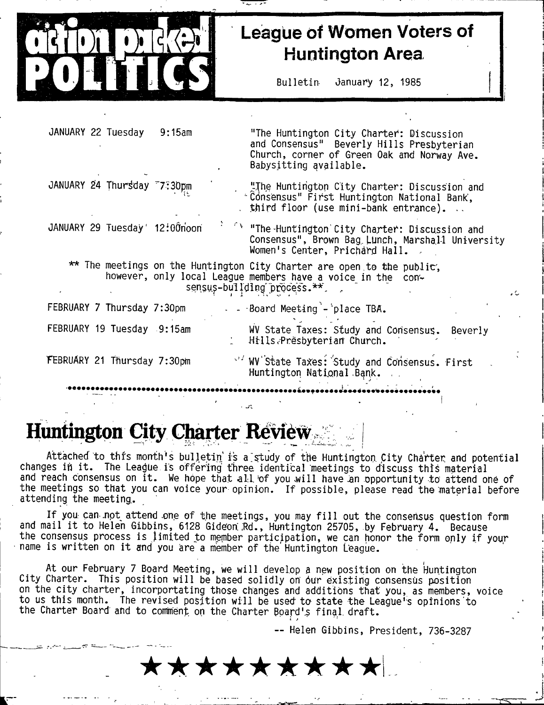# **League of Women Voters of Huntington Area**

**B ulletin January 12, 1985**

| JANUARY 22 Tuesday<br>9:15am                                                                                                                                         | "The Huntington City Charter: Discussion<br>and Consensus" Beverly Hills Presbyterian<br>Church, corner of Green Oak and Norway Ave.<br>Babysitting available. |  |
|----------------------------------------------------------------------------------------------------------------------------------------------------------------------|----------------------------------------------------------------------------------------------------------------------------------------------------------------|--|
| JANUARY 24 Thursday 77:30pm                                                                                                                                          | "The Huntington City Charter: Discussion and<br>"Consensus" First Huntington National Bank,<br>third floor (use mini-bank entrance)                            |  |
| JANUARY 29 Tuesday 12:00noon                                                                                                                                         | <sup>f</sup> "The Huntington City Charter: Discussion and<br>Consensus", Brown Bag Lunch, Marshall University<br>Women's Center, Prichard Hall.                |  |
| ** The meetings on the Huntington City Charter are open to the public,<br>however, only local League members have a voice in the con-<br>sensus-building process.**. |                                                                                                                                                                |  |
| FEBRUARY 7 Thursday 7:30pm                                                                                                                                           | - Board Meeting - place TBA.                                                                                                                                   |  |
| FEBRUARY 19 Tuesday 9:15am                                                                                                                                           | WV State Taxes: Study and Consensus.<br>Beverly<br>Hills Presbyterian Church.                                                                                  |  |
| FEBRUARY 21 Thursday 7:30pm                                                                                                                                          | V/WV State Taxes: Study and Consensus. First<br>Huntington National Bank.                                                                                      |  |
|                                                                                                                                                                      |                                                                                                                                                                |  |

# **Huntington City Charter Review.**

Attached to this month's bulletin is a study of the Huntington City Charter and potential changes in it. The League is offering three identical meetings to discuss this material and reach consensus on it. We hope that all of you will have an opportunity to attend one of the meetings so that you can voice your opinion. If possible, please read the material before **attending the meeting,.**

If you can not attend one of the meetings, you may fill out the consensus question form and mail it to Helen Gibbins, 6128 Gideon Rd., Huntington 25705, by February 4. Because the consensus process is limited to member participation, we can honor the form only if your name is written on it and you are a member of the Huntington League.

**At our February 7 Board Meeting, we will develop a new position on the Huntington City Charter. This position will be based solidly on 6ur existing consensus position** on the city charter, incorportating those changes and additions that you, as members, voice to us this month. The revised position will be used to state the League's opinions to the Charter Board and to comment on the Charter Board's final draft.

**— Helen Gibbins, President, 736-3287**

\*\*\*\*\*\*\*\*\*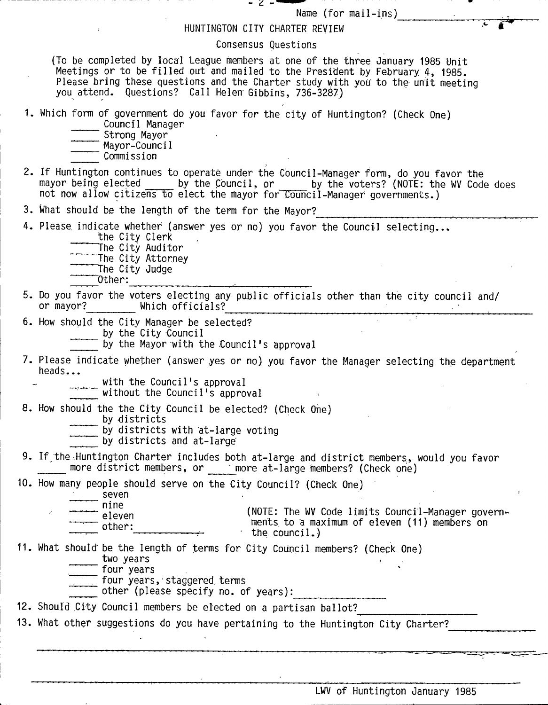| – 2 –<br>Name (for $mail-ins$ )                                                                                                                                                                                                                                                                            |
|------------------------------------------------------------------------------------------------------------------------------------------------------------------------------------------------------------------------------------------------------------------------------------------------------------|
| HUNTINGTON CITY CHARTER REVIEW                                                                                                                                                                                                                                                                             |
| Consensus Questions                                                                                                                                                                                                                                                                                        |
| (To be completed by local League members at one of the three January 1985 Unit<br>Meetings or to be filled out and mailed to the President by February 4, 1985.<br>Please bring these questions and the Charter study with you to the unit meeting<br>you attend. Questions? Call Helen Gibbins, 736-3287) |
| 1. Which form of government do you favor for the city of Huntington? (Check One)<br>Council Manager<br>Strong Mayor<br>- Mayor-Council<br>Commission                                                                                                                                                       |
| 2. If Huntington continues to operate under the Council-Manager form, do you favor the<br>mayor being elected by the Council, or by the voters? (NOTE: the WV Code does<br>not now allow citizens to elect the mayor for Council-Manager governments.)                                                     |
| 3. What should be the length of the term for the Mayor?                                                                                                                                                                                                                                                    |
| 4. Please indicate whether (answer yes or no) you favor the Council selecting<br>the City Clerk<br>The City Auditor<br>The City Attorney<br>The City Judge<br>Other:                                                                                                                                       |
| 5. Do you favor the voters electing any public officials other than the city council and/<br>or mayor? Which officials?                                                                                                                                                                                    |
| 6. How should the City Manager be selected?<br>by the City Council<br>by the Mayor with the Council's approval                                                                                                                                                                                             |
| 7. Please indicate whether (answer yes or no) you favor the Manager selecting the department<br>heads<br>with the Council's approval<br>without the Council's approval                                                                                                                                     |
| 8. How should the the City Council be elected? (Check One)<br>by districts<br>by districts with at-large voting<br>by districts and at-large                                                                                                                                                               |
| 9. If the Huntington Charter includes both at-large and district members, would you favor<br>more district members, or more at-large members? (Check one)                                                                                                                                                  |
| 10. How many people should serve on the City Council? (Check One)                                                                                                                                                                                                                                          |
| seven<br>nine<br>(NOTE: The WV Code limits Council-Manager govern-<br>eleven<br>ments to a maximum of eleven (11) members on<br>other:<br>the council.)                                                                                                                                                    |
| 11. What should be the length of terms for City Council members? (Check One)<br>two years<br>four years<br>four years, staggered terms<br>other (please specify no. of years):                                                                                                                             |
| 12. Should City Council members be elected on a partisan ballot?                                                                                                                                                                                                                                           |
| 13. What other suggestions do you have pertaining to the Huntington City Charter?                                                                                                                                                                                                                          |
|                                                                                                                                                                                                                                                                                                            |
| LWV of Huntington January 1985                                                                                                                                                                                                                                                                             |

!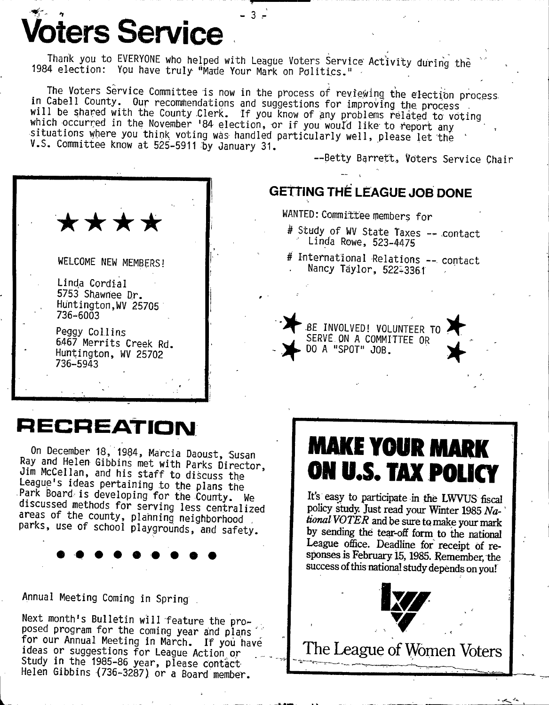**pters Service** 

Thank you to EVERYONE who helped with League Voters Service Activity during the 1984 election: You have truly "Made Your Mark on Politics."

 $-3 =$ 

The Voters Service Committee is now in the process of reviewing the election process in Cabell County. Our recommendations and suggestions for improving the process will be shared with the County Clerk. If you know of any problems related to voting which occurred in the November 184 election, or if you would like to report any situations where you think voting was handled particularly well, please let the V.S. Committee know at 525-5911 by January 31.

--Betty Barrett, Voters Service Chair



## **GETTING THE LEAGUE JOB DONE**

WANTED: Committee members for

- # Study of WV State Taxes -- contact Linda Rowe, 523-4475
- # International Relations -- contact Nancy Taylor, 522-3361

BE INVOLVED! VOLUNTEER TO

SERVE ON A COMMITTEE OR

DO A "SPOT" JOB.

**RECREATION** 

On December 18, 1984, Marcia Daoust, Susan Ray and Helen Gibbins met with Parks Director, Jim McCellan, and his staff to discuss the League's ideas pertaining to the plans the<br>Park Board is developing for the County. We discussed methods for serving less centralized areas of the county, planning neighborhood parks, use of school playgrounds, and safety.

Annual Meeting Coming in Spring

Next month's Bulletin will feature the proposed program for the coming year and plans for our Annual Meeting in March. If you have ideas or suggestions for League Action or Study in the 1985-86 year, please contact Helen Gibbins (736-3287) or a Board member.

# **MAKE YOUR MARK** ON U.S. TAX POLICY

It's easy to participate in the LWVUS fiscal policy study. Just read your Winter 1985 National VOTER and be sure to make your mark by sending the tear-off form to the national League office. Deadline for receipt of responses is February 15, 1985. Remember, the success of this national study depends on you!